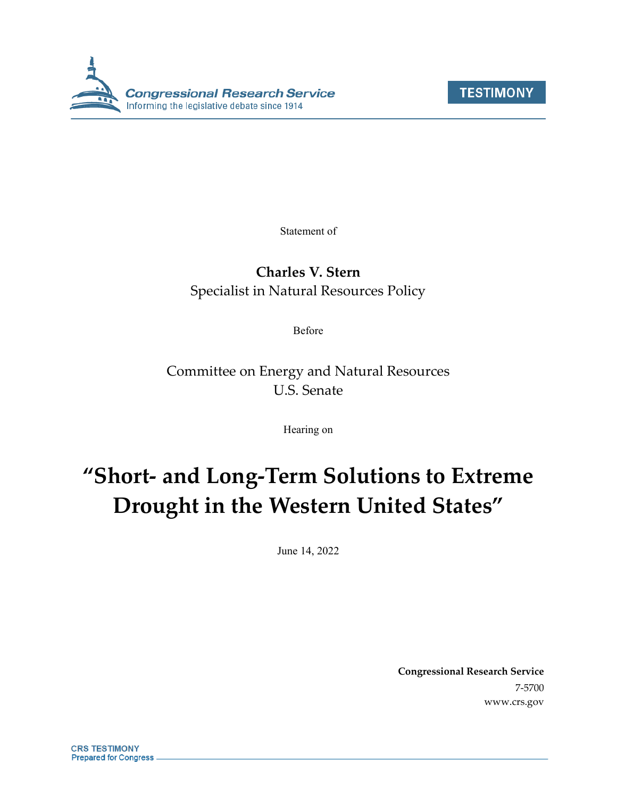



Statement of

## **Charles V. Stern** Specialist in Natural Resources Policy

Before

Committee on Energy and Natural Resources U.S. Senate

Hearing on

# **"Short- and Long-Term Solutions to Extreme Drought in the Western United States"**

June 14, 2022

**Congressional Research Service** 7-5700 www.crs.gov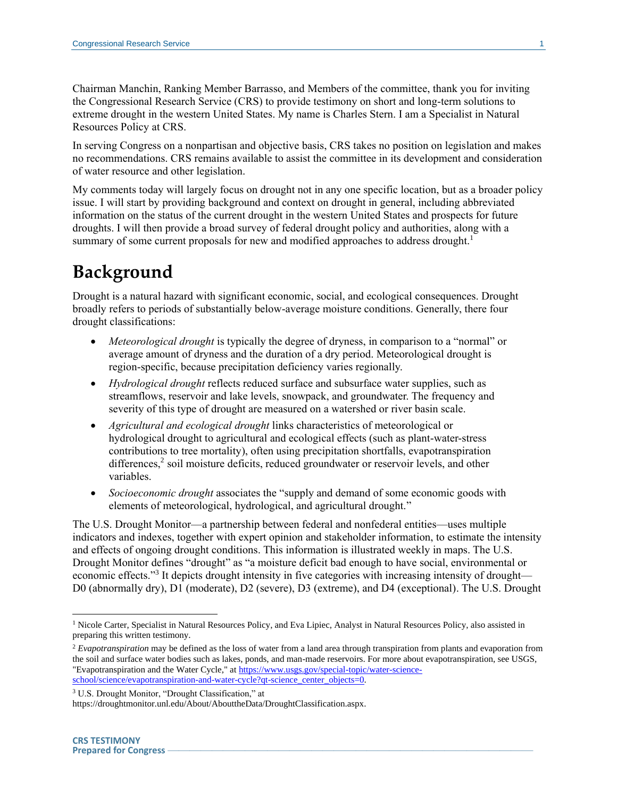Chairman Manchin, Ranking Member Barrasso, and Members of the committee, thank you for inviting the Congressional Research Service (CRS) to provide testimony on short and long-term solutions to extreme drought in the western United States. My name is Charles Stern. I am a Specialist in Natural Resources Policy at CRS.

In serving Congress on a nonpartisan and objective basis, CRS takes no position on legislation and makes no recommendations. CRS remains available to assist the committee in its development and consideration of water resource and other legislation.

My comments today will largely focus on drought not in any one specific location, but as a broader policy issue. I will start by providing background and context on drought in general, including abbreviated information on the status of the current drought in the western United States and prospects for future droughts. I will then provide a broad survey of federal drought policy and authorities, along with a summary of some current proposals for new and modified approaches to address drought.<sup>1</sup>

## **Background**

Drought is a natural hazard with significant economic, social, and ecological consequences. Drought broadly refers to periods of substantially below-average moisture conditions. Generally, there four drought classifications:

- *Meteorological drought* is typically the degree of dryness, in comparison to a "normal" or average amount of dryness and the duration of a dry period. Meteorological drought is region-specific, because precipitation deficiency varies regionally.
- *Hydrological drought* reflects reduced surface and subsurface water supplies, such as streamflows, reservoir and lake levels, snowpack, and groundwater. The frequency and severity of this type of drought are measured on a watershed or river basin scale.
- *Agricultural and ecological drought* links characteristics of meteorological or hydrological drought to agricultural and ecological effects (such as plant-water-stress contributions to tree mortality), often using precipitation shortfalls, evapotranspiration differences, 2 soil moisture deficits, reduced groundwater or reservoir levels, and other variables.
- *Socioeconomic drought* associates the "supply and demand of some economic goods with elements of meteorological, hydrological, and agricultural drought."

The U.S. Drought Monitor—a partnership between federal and nonfederal entities—uses multiple indicators and indexes, together with expert opinion and stakeholder information, to estimate the intensity and effects of ongoing drought conditions. This information is illustrated weekly in maps. The U.S. Drought Monitor defines "drought" as "a moisture deficit bad enough to have social, environmental or economic effects."<sup>3</sup> It depicts drought intensity in five categories with increasing intensity of drought— D0 (abnormally dry), D1 (moderate), D2 (severe), D3 (extreme), and D4 (exceptional). The U.S. Drought

<sup>3</sup> U.S. Drought Monitor, "Drought Classification," at

 $\overline{a}$ <sup>1</sup> Nicole Carter, Specialist in Natural Resources Policy, and Eva Lipiec, Analyst in Natural Resources Policy, also assisted in preparing this written testimony.

<sup>2</sup> *Evapotranspiration* may be defined as the loss of water from a land area through transpiration from plants and evaporation from the soil and surface water bodies such as lakes, ponds, and man-made reservoirs. For more about evapotranspiration, see USGS, "Evapotranspiration and the Water Cycle," at https://www.usgs.gov/special-topic/water-scienceschool/science/evapotranspiration-and-water-cycle?qt-science\_center\_objects=0.

https://droughtmonitor.unl.edu/About/AbouttheData/DroughtClassification.aspx.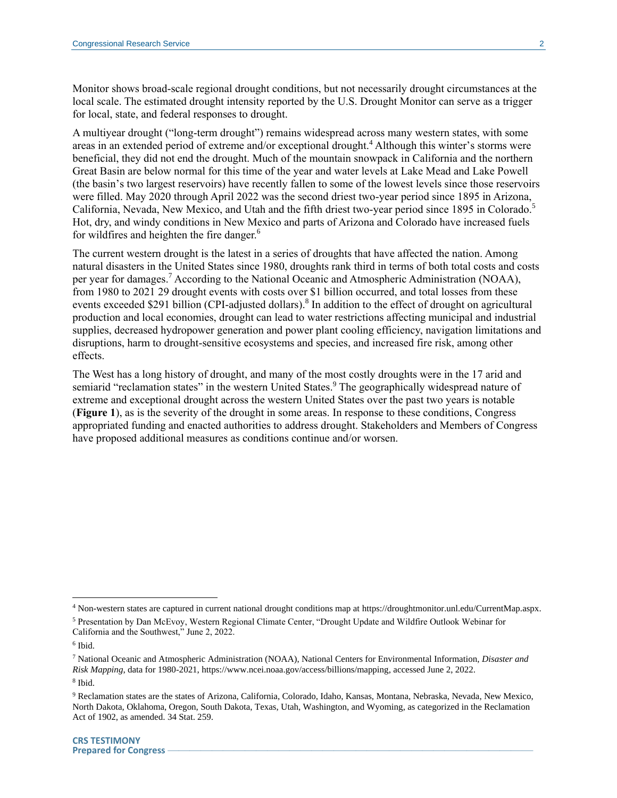Monitor shows broad-scale regional drought conditions, but not necessarily drought circumstances at the local scale. The estimated drought intensity reported by the U.S. Drought Monitor can serve as a trigger for local, state, and federal responses to drought.

A multiyear drought ("long-term drought") remains widespread across many western states, with some areas in an extended period of extreme and/or exceptional drought.<sup>4</sup> Although this winter's storms were beneficial, they did not end the drought. Much of the mountain snowpack in California and the northern Great Basin are below normal for this time of the year and water levels at Lake Mead and Lake Powell (the basin's two largest reservoirs) have recently fallen to some of the lowest levels since those reservoirs were filled. May 2020 through April 2022 was the second driest two-year period since 1895 in Arizona, California, Nevada, New Mexico, and Utah and the fifth driest two-year period since 1895 in Colorado.<sup>5</sup> Hot, dry, and windy conditions in New Mexico and parts of Arizona and Colorado have increased fuels for wildfires and heighten the fire danger.<sup>6</sup>

The current western drought is the latest in a series of droughts that have affected the nation. Among natural disasters in the United States since 1980, droughts rank third in terms of both total costs and costs per year for damages.<sup>7</sup> According to the National Oceanic and Atmospheric Administration (NOAA), from 1980 to 2021 29 drought events with costs over \$1 billion occurred, and total losses from these events exceeded \$291 billion (CPI-adjusted dollars).<sup>8</sup> In addition to the effect of drought on agricultural production and local economies, drought can lead to water restrictions affecting municipal and industrial supplies, decreased hydropower generation and power plant cooling efficiency, navigation limitations and disruptions, harm to drought-sensitive ecosystems and species, and increased fire risk, among other effects.

The West has a long history of drought, and many of the most costly droughts were in the 17 arid and semiarid "reclamation states" in the western United States.<sup>9</sup> The geographically widespread nature of extreme and exceptional drought across the western United States over the past two years is notable (**[Figure 1](#page-3-0)**), as is the severity of the drought in some areas. In response to these conditions, Congress appropriated funding and enacted authorities to address drought. Stakeholders and Members of Congress have proposed additional measures as conditions continue and/or worsen.

<sup>4</sup> Non-western states are captured in current national drought conditions map at https://droughtmonitor.unl.edu/CurrentMap.aspx.

<sup>5</sup> Presentation by Dan McEvoy, Western Regional Climate Center, "Drought Update and Wildfire Outlook Webinar for California and the Southwest," June 2, 2022.

<sup>6</sup> Ibid.

<sup>7</sup> National Oceanic and Atmospheric Administration (NOAA), National Centers for Environmental Information, *Disaster and Risk Mapping*, data for 1980-2021, https://www.ncei.noaa.gov/access/billions/mapping, accessed June 2, 2022.

<sup>8</sup> Ibid.

<sup>9</sup> Reclamation states are the states of Arizona, California, Colorado, Idaho, Kansas, Montana, Nebraska, Nevada, New Mexico, North Dakota, Oklahoma, Oregon, South Dakota, Texas, Utah, Washington, and Wyoming, as categorized in the Reclamation Act of 1902, as amended. 34 Stat. 259.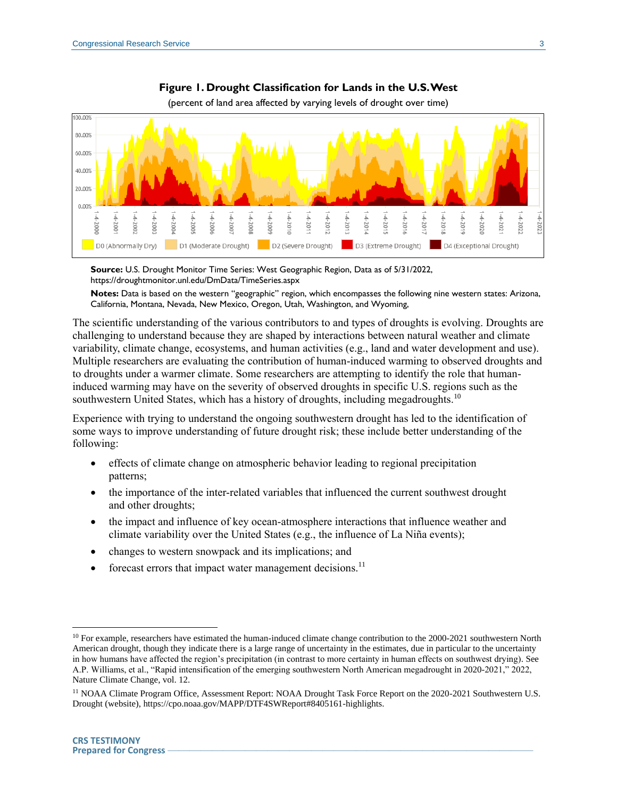<span id="page-3-0"></span>



(percent of land area affected by varying levels of drought over time)

**Source:** U.S. Drought Monitor Time Series: West Geographic Region, Data as of 5/31/2022, https://droughtmonitor.unl.edu/DmData/TimeSeries.aspx

**Notes:** Data is based on the western "geographic" region, which encompasses the following nine western states: Arizona, California, Montana, Nevada, New Mexico, Oregon, Utah, Washington, and Wyoming,

The scientific understanding of the various contributors to and types of droughts is evolving. Droughts are challenging to understand because they are shaped by interactions between natural weather and climate variability, climate change, ecosystems, and human activities (e.g., land and water development and use). Multiple researchers are evaluating the contribution of human-induced warming to observed droughts and to droughts under a warmer climate. Some researchers are attempting to identify the role that humaninduced warming may have on the severity of observed droughts in specific U.S. regions such as the southwestern United States, which has a history of droughts, including megadroughts.<sup>10</sup>

Experience with trying to understand the ongoing southwestern drought has led to the identification of some ways to improve understanding of future drought risk; these include better understanding of the following:

- effects of climate change on atmospheric behavior leading to regional precipitation patterns;
- the importance of the inter-related variables that influenced the current southwest drought and other droughts;
- the impact and influence of key ocean-atmosphere interactions that influence weather and climate variability over the United States (e.g., the influence of La Niña events);
- changes to western snowpack and its implications; and
- forecast errors that impact water management decisions.<sup>11</sup>

<sup>&</sup>lt;sup>10</sup> For example, researchers have estimated the human-induced climate change contribution to the 2000-2021 southwestern North American drought, though they indicate there is a large range of uncertainty in the estimates, due in particular to the uncertainty in how humans have affected the region's precipitation (in contrast to more certainty in human effects on southwest drying). See A.P. Williams, et al., "Rapid intensification of the emerging southwestern North American megadrought in 2020-2021," 2022, Nature Climate Change, vol. 12.

<sup>&</sup>lt;sup>11</sup> NOAA Climate Program Office, Assessment Report: NOAA Drought Task Force Report on the 2020-2021 Southwestern U.S. Drought (website), https://cpo.noaa.gov/MAPP/DTF4SWReport#8405161-highlights.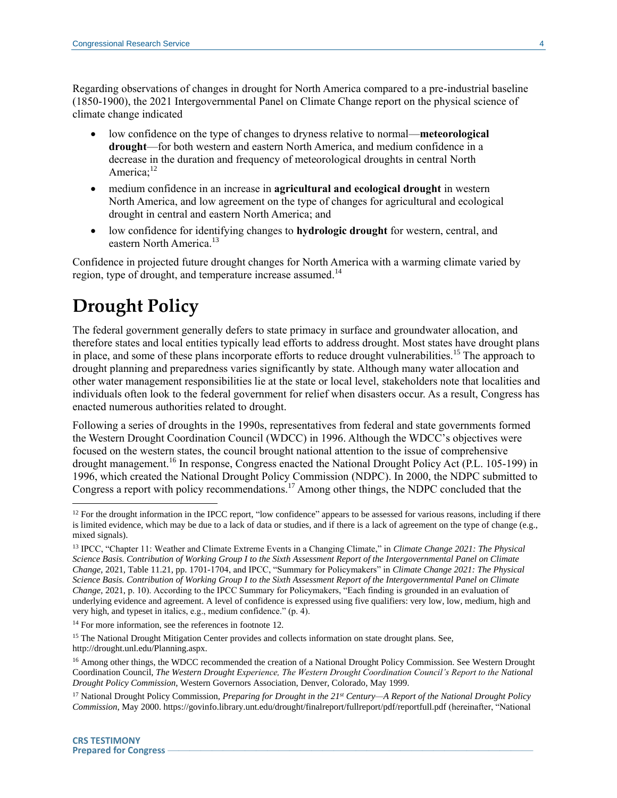Regarding observations of changes in drought for North America compared to a pre-industrial baseline (1850-1900), the 2021 Intergovernmental Panel on Climate Change report on the physical science of climate change indicated

- low confidence on the type of changes to dryness relative to normal—**meteorological drought**—for both western and eastern North America, and medium confidence in a decrease in the duration and frequency of meteorological droughts in central North America;<sup>12</sup>
- <span id="page-4-0"></span> medium confidence in an increase in **agricultural and ecological drought** in western North America, and low agreement on the type of changes for agricultural and ecological drought in central and eastern North America; and
- low confidence for identifying changes to **hydrologic drought** for western, central, and eastern North America.<sup>13</sup>

Confidence in projected future drought changes for North America with a warming climate varied by region, type of drought, and temperature increase assumed.<sup>14</sup>

## **Drought Policy**

The federal government generally defers to state primacy in surface and groundwater allocation, and therefore states and local entities typically lead efforts to address drought. Most states have drought plans in place, and some of these plans incorporate efforts to reduce drought vulnerabilities.<sup>15</sup> The approach to drought planning and preparedness varies significantly by state. Although many water allocation and other water management responsibilities lie at the state or local level, stakeholders note that localities and individuals often look to the federal government for relief when disasters occur. As a result, Congress has enacted numerous authorities related to drought.

Following a series of droughts in the 1990s, representatives from federal and state governments formed the Western Drought Coordination Council (WDCC) in 1996. Although the WDCC's objectives were focused on the western states, the council brought national attention to the issue of comprehensive drought management.<sup>16</sup> In response, Congress enacted the National Drought Policy Act (P.L. 105-199) in 1996, which created the National Drought Policy Commission (NDPC). In 2000, the NDPC submitted to Congress a report with policy recommendations.<sup>17</sup> Among other things, the NDPC concluded that the

<sup>&</sup>lt;sup>12</sup> For the drought information in the IPCC report, "low confidence" appears to be assessed for various reasons, including if there is limited evidence, which may be due to a lack of data or studies, and if there is a lack of agreement on the type of change (e.g., mixed signals).

<sup>13</sup> IPCC, "Chapter 11: Weather and Climate Extreme Events in a Changing Climate," in *Climate Change 2021: The Physical Science Basis. Contribution of Working Group I to the Sixth Assessment Report of the Intergovernmental Panel on Climate Change*, 2021, Table 11.21, pp. 1701-1704, and IPCC, "Summary for Policymakers" in *Climate Change 2021: The Physical Science Basis. Contribution of Working Group I to the Sixth Assessment Report of the Intergovernmental Panel on Climate Change*, 2021, p. 10). According to the IPCC Summary for Policymakers, "Each finding is grounded in an evaluation of underlying evidence and agreement. A level of confidence is expressed using five qualifiers: very low, low, medium, high and very high, and typeset in italics, e.g., medium confidence." (p. 4).

<sup>&</sup>lt;sup>14</sup> For more information, see the references in footnot[e 12.](#page-4-0)

<sup>&</sup>lt;sup>15</sup> The National Drought Mitigation Center provides and collects information on state drought plans. See, http://drought.unl.edu/Planning.aspx.

<sup>&</sup>lt;sup>16</sup> Among other things, the WDCC recommended the creation of a National Drought Policy Commission. See Western Drought Coordination Council, *The Western Drought Experience, The Western Drought Coordination Council's Report to the National Drought Policy Commission*, Western Governors Association, Denver, Colorado, May 1999.

<sup>17</sup> National Drought Policy Commission, *Preparing for Drought in the 21st Century—A Report of the National Drought Policy Commission*, May 2000. https://govinfo.library.unt.edu/drought/finalreport/fullreport/pdf/reportfull.pdf (hereinafter, "National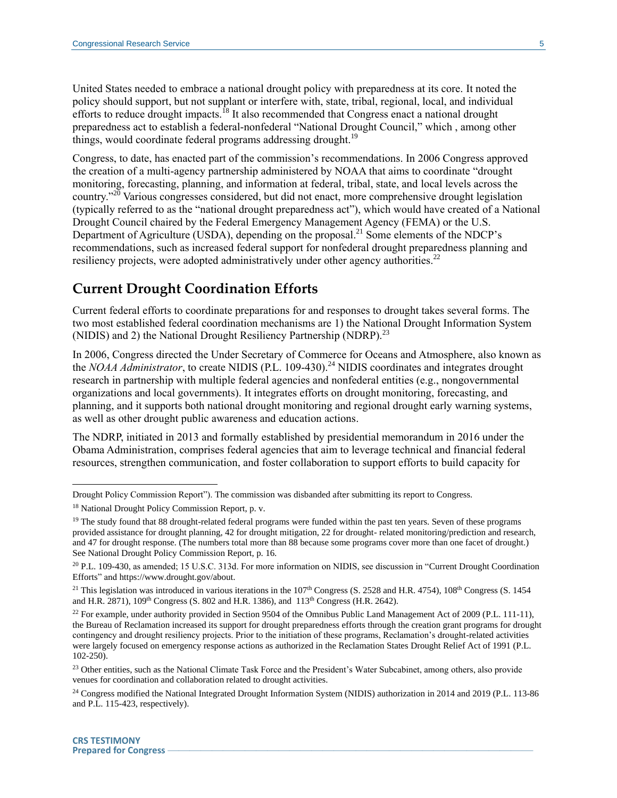United States needed to embrace a national drought policy with preparedness at its core. It noted the policy should support, but not supplant or interfere with, state, tribal, regional, local, and individual efforts to reduce drought impacts.<sup>18</sup> It also recommended that Congress enact a national drought preparedness act to establish a federal-nonfederal "National Drought Council," which , among other things, would coordinate federal programs addressing drought.<sup>19</sup>

Congress, to date, has enacted part of the commission's recommendations. In 2006 Congress approved the creation of a multi-agency partnership administered by NOAA that aims to coordinate "drought monitoring, forecasting, planning, and information at federal, tribal, state, and local levels across the country."<sup>20</sup> Various congresses considered, but did not enact, more comprehensive drought legislation (typically referred to as the "national drought preparedness act"), which would have created of a National Drought Council chaired by the Federal Emergency Management Agency (FEMA) or the U.S. Department of Agriculture (USDA), depending on the proposal.<sup>21</sup> Some elements of the NDCP's recommendations, such as increased federal support for nonfederal drought preparedness planning and resiliency projects, were adopted administratively under other agency authorities.<sup>22</sup>

### <span id="page-5-0"></span>**Current Drought Coordination Efforts**

Current federal efforts to coordinate preparations for and responses to drought takes several forms. The two most established federal coordination mechanisms are 1) the National Drought Information System (NIDIS) and 2) the National Drought Resiliency Partnership (NDRP).<sup>23</sup>

In 2006, Congress directed the Under Secretary of Commerce for Oceans and Atmosphere, also known as the *NOAA Administrator*, to create NIDIS (P.L. 109-430).<sup>24</sup> NIDIS coordinates and integrates drought research in partnership with multiple federal agencies and nonfederal entities (e.g., nongovernmental organizations and local governments). It integrates efforts on drought monitoring, forecasting, and planning, and it supports both national drought monitoring and regional drought early warning systems, as well as other drought public awareness and education actions.

The NDRP, initiated in 2013 and formally established by presidential memorandum in 2016 under the Obama Administration, comprises federal agencies that aim to leverage technical and financial federal resources, strengthen communication, and foster collaboration to support efforts to build capacity for

Drought Policy Commission Report"). The commission was disbanded after submitting its report to Congress.

<sup>18</sup> National Drought Policy Commission Report, p. v.

<sup>&</sup>lt;sup>19</sup> The study found that 88 drought-related federal programs were funded within the past ten years. Seven of these programs provided assistance for drought planning, 42 for drought mitigation, 22 for drought- related monitoring/prediction and research, and 47 for drought response. (The numbers total more than 88 because some programs cover more than one facet of drought.) See National Drought Policy Commission Report, p. 16.

<sup>20</sup> P.L. 109-430, as amended; 15 U.S.C. 313d. For more information on NIDIS, see discussion in ["Current Drought Coordination](#page-5-0)  [Efforts"](#page-5-0) and https://www.drought.gov/about.

<sup>&</sup>lt;sup>21</sup> This legislation was introduced in various iterations in the  $107<sup>th</sup>$  Congress (S. 2528 and H.R. 4754),  $108<sup>th</sup>$  Congress (S. 1454 and H.R. 2871),  $109<sup>th</sup> Congress$  (S. 802 and H.R. 1386), and  $113<sup>th</sup> Congress$  (H.R. 2642).

 $^{22}$  For example, under authority provided in Section 9504 of the Omnibus Public Land Management Act of 2009 (P.L. 111-11), the Bureau of Reclamation increased its support for drought preparedness efforts through the creation grant programs for drought contingency and drought resiliency projects. Prior to the initiation of these programs, Reclamation's drought-related activities were largely focused on emergency response actions as authorized in the Reclamation States Drought Relief Act of 1991 (P.L. 102-250).

<sup>&</sup>lt;sup>23</sup> Other entities, such as the National Climate Task Force and the President's Water Subcabinet, among others, also provide venues for coordination and collaboration related to drought activities.

<sup>&</sup>lt;sup>24</sup> Congress modified the National Integrated Drought Information System (NIDIS) authorization in 2014 and 2019 (P.L. 113-86 and P.L. 115-423, respectively).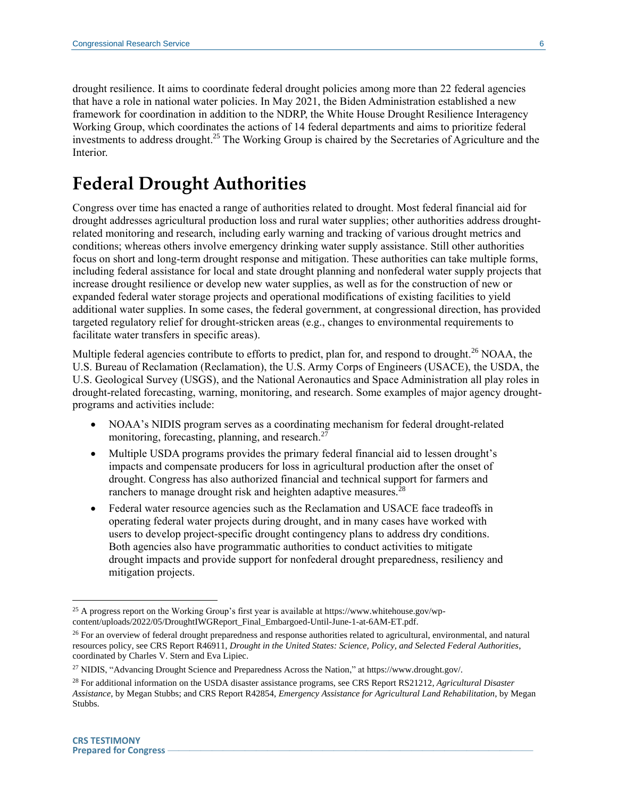drought resilience. It aims to coordinate federal drought policies among more than 22 federal agencies that have a role in national water policies. In May 2021, the Biden Administration established a new framework for coordination in addition to the NDRP, the White House Drought Resilience Interagency Working Group, which coordinates the actions of 14 federal departments and aims to prioritize federal investments to address drought. <sup>25</sup> The Working Group is chaired by the Secretaries of Agriculture and the Interior.

## **Federal Drought Authorities**

Congress over time has enacted a range of authorities related to drought. Most federal financial aid for drought addresses agricultural production loss and rural water supplies; other authorities address droughtrelated monitoring and research, including early warning and tracking of various drought metrics and conditions; whereas others involve emergency drinking water supply assistance. Still other authorities focus on short and long-term drought response and mitigation. These authorities can take multiple forms, including federal assistance for local and state drought planning and nonfederal water supply projects that increase drought resilience or develop new water supplies, as well as for the construction of new or expanded federal water storage projects and operational modifications of existing facilities to yield additional water supplies. In some cases, the federal government, at congressional direction, has provided targeted regulatory relief for drought-stricken areas (e.g., changes to environmental requirements to facilitate water transfers in specific areas).

Multiple federal agencies contribute to efforts to predict, plan for, and respond to drought.<sup>26</sup> NOAA, the U.S. Bureau of Reclamation (Reclamation), the U.S. Army Corps of Engineers (USACE), the USDA, the U.S. Geological Survey (USGS), and the National Aeronautics and Space Administration all play roles in drought-related forecasting, warning, monitoring, and research. Some examples of major agency droughtprograms and activities include:

- NOAA's NIDIS program serves as a coordinating mechanism for federal drought-related monitoring, forecasting, planning, and research. $2<sup>2</sup>$
- Multiple USDA programs provides the primary federal financial aid to lessen drought's impacts and compensate producers for loss in agricultural production after the onset of drought. Congress has also authorized financial and technical support for farmers and ranchers to manage drought risk and heighten adaptive measures.<sup>28</sup>
- Federal water resource agencies such as the Reclamation and USACE face tradeoffs in operating federal water projects during drought, and in many cases have worked with users to develop project-specific drought contingency plans to address dry conditions. Both agencies also have programmatic authorities to conduct activities to mitigate drought impacts and provide support for nonfederal drought preparedness, resiliency and mitigation projects.

<sup>&</sup>lt;sup>25</sup> A progress report on the Working Group's first year is available at https://www.whitehouse.gov/wpcontent/uploads/2022/05/DroughtIWGReport\_Final\_Embargoed-Until-June-1-at-6AM-ET.pdf.

<sup>&</sup>lt;sup>26</sup> For an overview of federal drought preparedness and response authorities related to agricultural, environmental, and natural resources policy, see CRS Report R46911, *Drought in the United States: Science, Policy, and Selected Federal Authorities*, coordinated by Charles V. Stern and Eva Lipiec.

<sup>27</sup> NIDIS, "Advancing Drought Science and Preparedness Across the Nation," at https://www.drought.gov/.

<sup>28</sup> For additional information on the USDA disaster assistance programs, see CRS Report RS21212, *Agricultural Disaster Assistance*, by Megan Stubbs; and CRS Report R42854, *Emergency Assistance for Agricultural Land Rehabilitation*, by Megan Stubbs.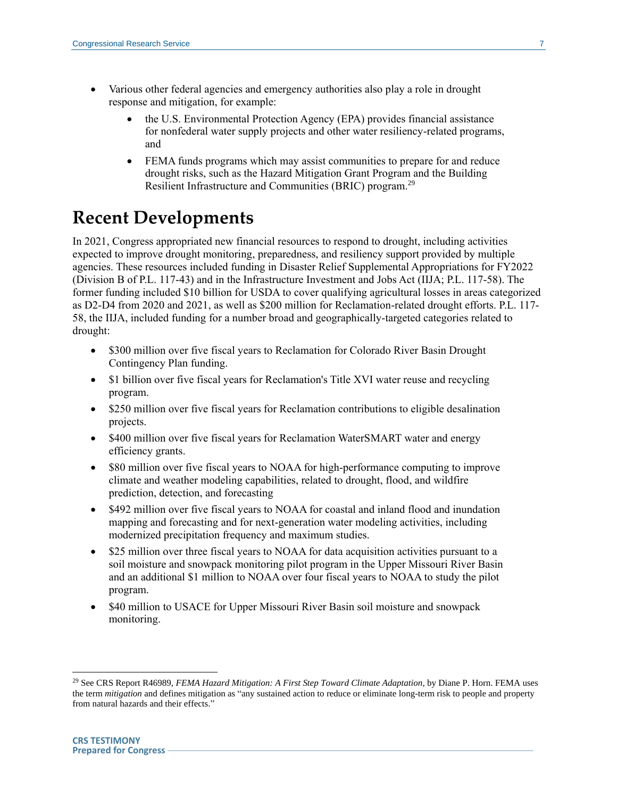- Various other federal agencies and emergency authorities also play a role in drought response and mitigation, for example:
	- the U.S. Environmental Protection Agency (EPA) provides financial assistance for nonfederal water supply projects and other water resiliency-related programs, and
	- FEMA funds programs which may assist communities to prepare for and reduce drought risks, such as the Hazard Mitigation Grant Program and the Building Resilient Infrastructure and Communities (BRIC) program.<sup>29</sup>

## **Recent Developments**

In 2021, Congress appropriated new financial resources to respond to drought, including activities expected to improve drought monitoring, preparedness, and resiliency support provided by multiple agencies. These resources included funding in Disaster Relief Supplemental Appropriations for FY2022 (Division B of P.L. 117-43) and in the Infrastructure Investment and Jobs Act (IIJA; P.L. 117-58). The former funding included \$10 billion for USDA to cover qualifying agricultural losses in areas categorized as D2-D4 from 2020 and 2021, as well as \$200 million for Reclamation-related drought efforts. P.L. 117- 58, the IIJA, included funding for a number broad and geographically-targeted categories related to drought:

- \$300 million over five fiscal years to Reclamation for Colorado River Basin Drought Contingency Plan funding.
- \$1 billion over five fiscal years for Reclamation's Title XVI water reuse and recycling program.
- \$250 million over five fiscal years for Reclamation contributions to eligible desalination projects.
- \$400 million over five fiscal years for Reclamation WaterSMART water and energy efficiency grants.
- \$80 million over five fiscal years to NOAA for high-performance computing to improve climate and weather modeling capabilities, related to drought, flood, and wildfire prediction, detection, and forecasting
- \$492 million over five fiscal years to NOAA for coastal and inland flood and inundation mapping and forecasting and for next-generation water modeling activities, including modernized precipitation frequency and maximum studies.
- \$25 million over three fiscal years to NOAA for data acquisition activities pursuant to a soil moisture and snowpack monitoring pilot program in the Upper Missouri River Basin and an additional \$1 million to NOAA over four fiscal years to NOAA to study the pilot program.
- \$40 million to USACE for Upper Missouri River Basin soil moisture and snowpack monitoring.

<sup>29</sup> See CRS Report R46989, *FEMA Hazard Mitigation: A First Step Toward Climate Adaptation*, by Diane P. Horn. FEMA uses the term *mitigation* and defines mitigation as "any sustained action to reduce or eliminate long-term risk to people and property from natural hazards and their effects."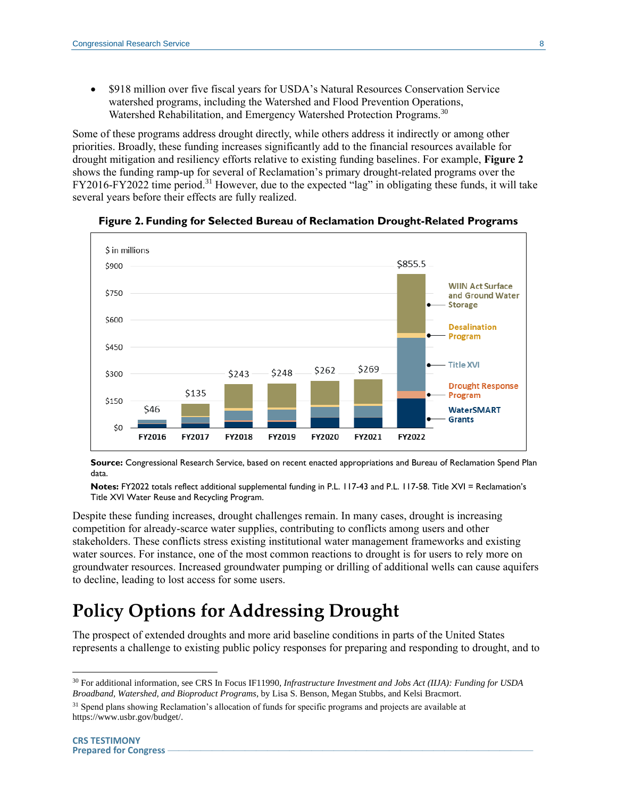\$918 million over five fiscal years for USDA's Natural Resources Conservation Service watershed programs, including the Watershed and Flood Prevention Operations, Watershed Rehabilitation, and Emergency Watershed Protection Programs.<sup>30</sup>

Some of these programs address drought directly, while others address it indirectly or among other priorities. Broadly, these funding increases significantly add to the financial resources available for drought mitigation and resiliency efforts relative to existing funding baselines. For example, **[Figure 2](#page-8-0)** shows the funding ramp-up for several of Reclamation's primary drought-related programs over the FY2016-FY2022 time period.<sup>31</sup> However, due to the expected "lag" in obligating these funds, it will take several years before their effects are fully realized.

<span id="page-8-0"></span>

**Figure 2. Funding for Selected Bureau of Reclamation Drought-Related Programs**

**Source:** Congressional Research Service, based on recent enacted appropriations and Bureau of Reclamation Spend Plan data.

**Notes:** FY2022 totals reflect additional supplemental funding in P.L. 117-43 and P.L. 117-58. Title XVI = Reclamation's Title XVI Water Reuse and Recycling Program.

Despite these funding increases, drought challenges remain. In many cases, drought is increasing competition for already-scarce water supplies, contributing to conflicts among users and other stakeholders. These conflicts stress existing institutional water management frameworks and existing water sources. For instance, one of the most common reactions to drought is for users to rely more on groundwater resources. Increased groundwater pumping or drilling of additional wells can cause aquifers to decline, leading to lost access for some users.

## **Policy Options for Addressing Drought**

The prospect of extended droughts and more arid baseline conditions in parts of the United States represents a challenge to existing public policy responses for preparing and responding to drought, and to

<sup>30</sup> For additional information, see CRS In Focus IF11990, *Infrastructure Investment and Jobs Act (IIJA): Funding for USDA Broadband, Watershed, and Bioproduct Programs*, by Lisa S. Benson, Megan Stubbs, and Kelsi Bracmort.

<sup>&</sup>lt;sup>31</sup> Spend plans showing Reclamation's allocation of funds for specific programs and projects are available at https://www.usbr.gov/budget/.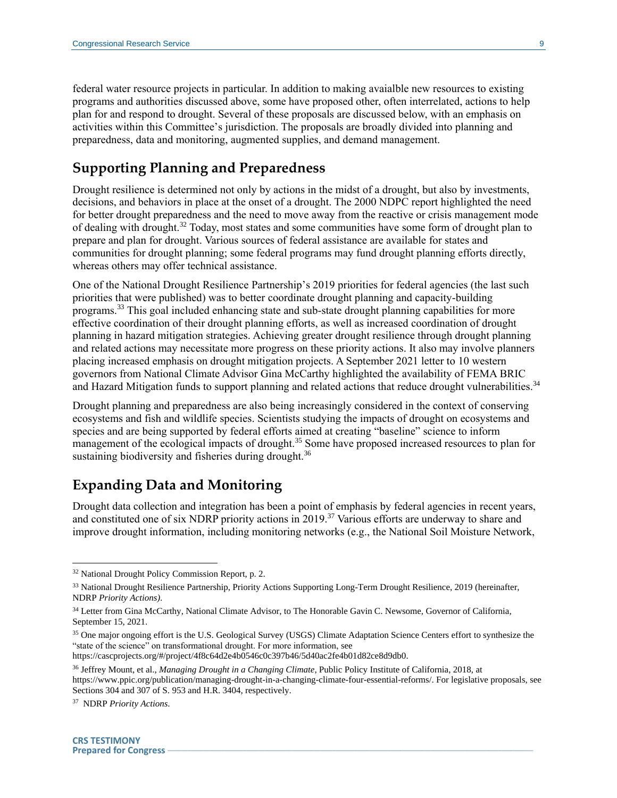federal water resource projects in particular. In addition to making avaialble new resources to existing programs and authorities discussed above, some have proposed other, often interrelated, actions to help plan for and respond to drought. Several of these proposals are discussed below, with an emphasis on activities within this Committee's jurisdiction. The proposals are broadly divided into planning and preparedness, data and monitoring, augmented supplies, and demand management.

### **Supporting Planning and Preparedness**

Drought resilience is determined not only by actions in the midst of a drought, but also by investments, decisions, and behaviors in place at the onset of a drought. The 2000 NDPC report highlighted the need for better drought preparedness and the need to move away from the reactive or crisis management mode of dealing with drought.<sup>32</sup> Today, most states and some communities have some form of drought plan to prepare and plan for drought. Various sources of federal assistance are available for states and communities for drought planning; some federal programs may fund drought planning efforts directly, whereas others may offer technical assistance.

One of the National Drought Resilience Partnership's 2019 priorities for federal agencies (the last such priorities that were published) was to better coordinate drought planning and capacity-building programs.<sup>33</sup> This goal included enhancing state and sub-state drought planning capabilities for more effective coordination of their drought planning efforts, as well as increased coordination of drought planning in hazard mitigation strategies. Achieving greater drought resilience through drought planning and related actions may necessitate more progress on these priority actions. It also may involve planners placing increased emphasis on drought mitigation projects. A September 2021 letter to 10 western governors from National Climate Advisor Gina McCarthy highlighted the availability of FEMA BRIC and Hazard Mitigation funds to support planning and related actions that reduce drought vulnerabilities.<sup>34</sup>

Drought planning and preparedness are also being increasingly considered in the context of conserving ecosystems and fish and wildlife species. Scientists studying the impacts of drought on ecosystems and species and are being supported by federal efforts aimed at creating "baseline" science to inform management of the ecological impacts of drought.<sup>35</sup> Some have proposed increased resources to plan for sustaining biodiversity and fisheries during drought.<sup>36</sup>

### **Expanding Data and Monitoring**

Drought data collection and integration has been a point of emphasis by federal agencies in recent years, and constituted one of six NDRP priority actions in 2019.<sup>37</sup> Various efforts are underway to share and improve drought information, including monitoring networks (e.g., the National Soil Moisture Network,

<sup>32</sup> National Drought Policy Commission Report, p. 2.

<sup>33</sup> National Drought Resilience Partnership, Priority Actions Supporting Long-Term Drought Resilience, 2019 (hereinafter, NDRP *Priority Actions)*.

<sup>34</sup> Letter from Gina McCarthy, National Climate Advisor, to The Honorable Gavin C. Newsome, Governor of California, September 15, 2021.

<sup>&</sup>lt;sup>35</sup> One major ongoing effort is the U.S. Geological Survey (USGS) Climate Adaptation Science Centers effort to synthesize the "state of the science" on transformational drought. For more information, see https://cascprojects.org/#/project/4f8c64d2e4b0546c0c397b46/5d40ac2fe4b01d82ce8d9db0.

<sup>36</sup> Jeffrey Mount, et al., *Managing Drought in a Changing Climate*, Public Policy Institute of California, 2018, at https://www.ppic.org/publication/managing-drought-in-a-changing-climate-four-essential-reforms/. For legislative proposals, see Sections 304 and 307 of S. 953 and H.R. 3404, respectively.

<sup>37</sup> NDRP *Priority Actions*.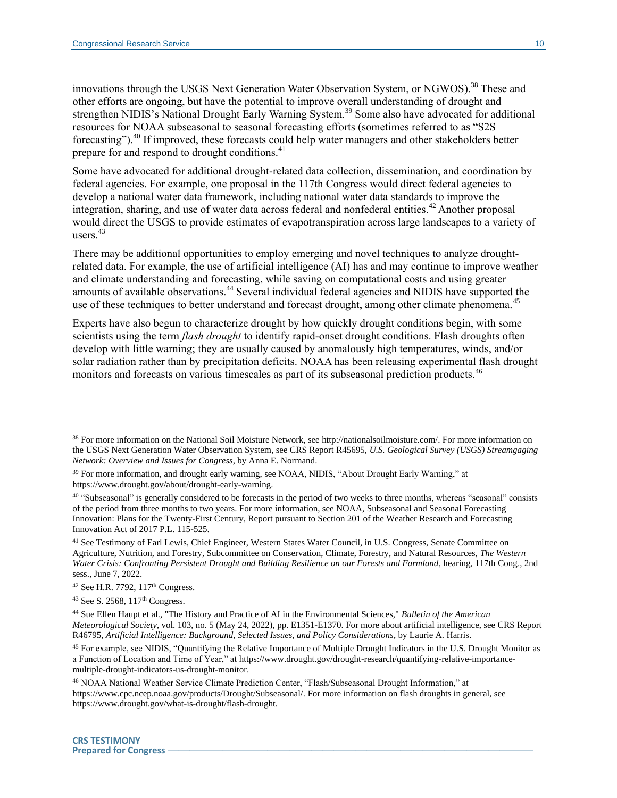innovations through the USGS Next Generation Water Observation System, or NGWOS).<sup>38</sup> These and other efforts are ongoing, but have the potential to improve overall understanding of drought and strengthen NIDIS's National Drought Early Warning System.<sup>39</sup> Some also have advocated for additional resources for NOAA subseasonal to seasonal forecasting efforts (sometimes referred to as "S2S forecasting").<sup>40</sup> If improved, these forecasts could help water managers and other stakeholders better prepare for and respond to drought conditions.<sup>41</sup>

Some have advocated for additional drought-related data collection, dissemination, and coordination by federal agencies. For example, one proposal in the 117th Congress would direct federal agencies to develop a national water data framework, including national water data standards to improve the integration, sharing, and use of water data across federal and nonfederal entities.<sup>42</sup> Another proposal would direct the USGS to provide estimates of evapotranspiration across large landscapes to a variety of users.<sup>43</sup>

There may be additional opportunities to employ emerging and novel techniques to analyze droughtrelated data. For example, the use of artificial intelligence (AI) has and may continue to improve weather and climate understanding and forecasting, while saving on computational costs and using greater amounts of available observations.<sup>44</sup> Several individual federal agencies and NIDIS have supported the use of these techniques to better understand and forecast drought, among other climate phenomena.<sup>45</sup>

Experts have also begun to characterize drought by how quickly drought conditions begin, with some scientists using the term *flash drought* to identify rapid-onset drought conditions. Flash droughts often develop with little warning; they are usually caused by anomalously high temperatures, winds, and/or solar radiation rather than by precipitation deficits. NOAA has been releasing experimental flash drought monitors and forecasts on various timescales as part of its subseasonal prediction products.<sup>46</sup>

<sup>38</sup> For more information on the National Soil Moisture Network, see http://nationalsoilmoisture.com/. For more information on the USGS Next Generation Water Observation System, see CRS Report R45695, *U.S. Geological Survey (USGS) Streamgaging Network: Overview and Issues for Congress*, by Anna E. Normand.

<sup>&</sup>lt;sup>39</sup> For more information, and drought early warning, see NOAA, NIDIS, "About Drought Early Warning," at https://www.drought.gov/about/drought-early-warning.

<sup>40</sup> "Subseasonal" is generally considered to be forecasts in the period of two weeks to three months, whereas "seasonal" consists of the period from three months to two years. For more information, see NOAA, Subseasonal and Seasonal Forecasting Innovation: Plans for the Twenty-First Century, Report pursuant to Section 201 of the Weather Research and Forecasting Innovation Act of 2017 P.L. 115-525.

<sup>41</sup> See Testimony of Earl Lewis, Chief Engineer, Western States Water Council, in U.S. Congress, Senate Committee on Agriculture, Nutrition, and Forestry, Subcommittee on Conservation, Climate, Forestry, and Natural Resources, *The Western Water Crisis: Confronting Persistent Drought and Building Resilience on our Forests and Farmland*, hearing, 117th Cong., 2nd sess., June 7, 2022.

<sup>42</sup> See H.R. 7792, 117th Congress.

 $43$  See S. 2568,  $117<sup>th</sup>$  Congress.

<sup>44</sup> Sue Ellen Haupt et al., "The History and Practice of AI in the Environmental Sciences," *Bulletin of the American Meteorological Society*, vol. 103, no. 5 (May 24, 2022), pp. E1351-E1370. For more about artificial intelligence, see CRS Report R46795, *Artificial Intelligence: Background, Selected Issues, and Policy Considerations*, by Laurie A. Harris.

<sup>&</sup>lt;sup>45</sup> For example, see NIDIS, "Quantifying the Relative Importance of Multiple Drought Indicators in the U.S. Drought Monitor as a Function of Location and Time of Year," at https://www.drought.gov/drought-research/quantifying-relative-importancemultiple-drought-indicators-us-drought-monitor.

<sup>46</sup> NOAA National Weather Service Climate Prediction Center, "Flash/Subseasonal Drought Information," at https://www.cpc.ncep.noaa.gov/products/Drought/Subseasonal/. For more information on flash droughts in general, see https://www.drought.gov/what-is-drought/flash-drought.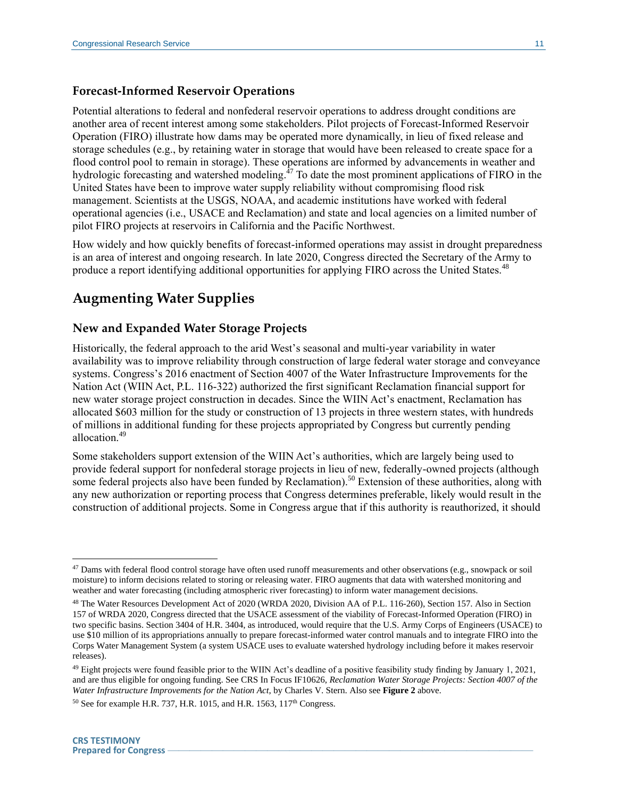#### **Forecast-Informed Reservoir Operations**

Potential alterations to federal and nonfederal reservoir operations to address drought conditions are another area of recent interest among some stakeholders. Pilot projects of Forecast-Informed Reservoir Operation (FIRO) illustrate how dams may be operated more dynamically, in lieu of fixed release and storage schedules (e.g., by retaining water in storage that would have been released to create space for a flood control pool to remain in storage). These operations are informed by advancements in weather and hydrologic forecasting and watershed modeling. $^{47}$  To date the most prominent applications of FIRO in the United States have been to improve water supply reliability without compromising flood risk management. Scientists at the USGS, NOAA, and academic institutions have worked with federal operational agencies (i.e., USACE and Reclamation) and state and local agencies on a limited number of pilot FIRO projects at reservoirs in California and the Pacific Northwest.

How widely and how quickly benefits of forecast-informed operations may assist in drought preparedness is an area of interest and ongoing research. In late 2020, Congress directed the Secretary of the Army to produce a report identifying additional opportunities for applying FIRO across the United States.<sup>48</sup>

### **Augmenting Water Supplies**

#### **New and Expanded Water Storage Projects**

Historically, the federal approach to the arid West's seasonal and multi-year variability in water availability was to improve reliability through construction of large federal water storage and conveyance systems. Congress's 2016 enactment of Section 4007 of the Water Infrastructure Improvements for the Nation Act (WIIN Act, P.L. 116-322) authorized the first significant Reclamation financial support for new water storage project construction in decades. Since the WIIN Act's enactment, Reclamation has allocated \$603 million for the study or construction of 13 projects in three western states, with hundreds of millions in additional funding for these projects appropriated by Congress but currently pending allocation.<sup>49</sup>

Some stakeholders support extension of the WIIN Act's authorities, which are largely being used to provide federal support for nonfederal storage projects in lieu of new, federally-owned projects (although some federal projects also have been funded by Reclamation).<sup>50</sup> Extension of these authorities, along with any new authorization or reporting process that Congress determines preferable, likely would result in the construction of additional projects. Some in Congress argue that if this authority is reauthorized, it should

<sup>&</sup>lt;sup>47</sup> Dams with federal flood control storage have often used runoff measurements and other observations (e.g., snowpack or soil moisture) to inform decisions related to storing or releasing water. FIRO augments that data with watershed monitoring and weather and water forecasting (including atmospheric river forecasting) to inform water management decisions.

<sup>48</sup> The Water Resources Development Act of 2020 (WRDA 2020, Division AA of P.L. 116-260), Section 157. Also in Section 157 of WRDA 2020, Congress directed that the USACE assessment of the viability of Forecast-Informed Operation (FIRO) in two specific basins. Section 3404 of H.R. 3404, as introduced, would require that the U.S. Army Corps of Engineers (USACE) to use \$10 million of its appropriations annually to prepare forecast-informed water control manuals and to integrate FIRO into the Corps Water Management System (a system USACE uses to evaluate watershed hydrology including before it makes reservoir releases).

<sup>&</sup>lt;sup>49</sup> Eight projects were found feasible prior to the WIIN Act's deadline of a positive feasibility study finding by January 1, 2021, and are thus eligible for ongoing funding. See CRS In Focus IF10626, *Reclamation Water Storage Projects: Section 4007 of the Water Infrastructure Improvements for the Nation Act*, by Charles V. Stern. Also see **[Figure 2](#page-8-0)** above.

 $50$  See for example H.R. 737, H.R. 1015, and H.R. 1563, 117<sup>th</sup> Congress.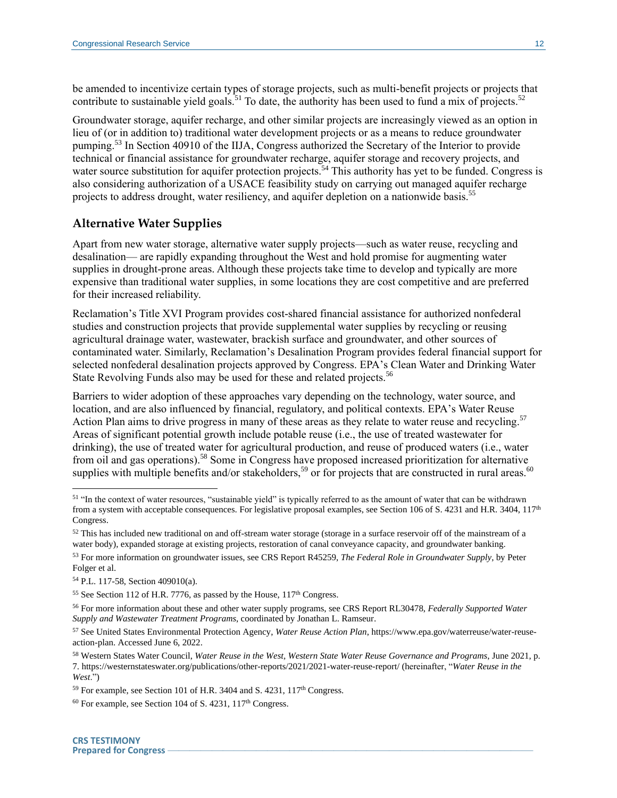be amended to incentivize certain types of storage projects, such as multi-benefit projects or projects that contribute to sustainable yield goals.<sup>51</sup> To date, the authority has been used to fund a mix of projects.<sup>52</sup>

Groundwater storage, aquifer recharge, and other similar projects are increasingly viewed as an option in lieu of (or in addition to) traditional water development projects or as a means to reduce groundwater pumping.<sup>53</sup> In Section 40910 of the IIJA, Congress authorized the Secretary of the Interior to provide technical or financial assistance for groundwater recharge, aquifer storage and recovery projects, and water source substitution for aquifer protection projects.<sup>54</sup> This authority has yet to be funded. Congress is also considering authorization of a USACE feasibility study on carrying out managed aquifer recharge projects to address drought, water resiliency, and aquifer depletion on a nationwide basis.<sup>55</sup>

#### **Alternative Water Supplies**

Apart from new water storage, alternative water supply projects—such as water reuse, recycling and desalination— are rapidly expanding throughout the West and hold promise for augmenting water supplies in drought-prone areas. Although these projects take time to develop and typically are more expensive than traditional water supplies, in some locations they are cost competitive and are preferred for their increased reliability.

Reclamation's Title XVI Program provides cost-shared financial assistance for authorized nonfederal studies and construction projects that provide supplemental water supplies by recycling or reusing agricultural drainage water, wastewater, brackish surface and groundwater, and other sources of contaminated water. Similarly, Reclamation's Desalination Program provides federal financial support for selected nonfederal desalination projects approved by Congress. EPA's Clean Water and Drinking Water State Revolving Funds also may be used for these and related projects.<sup>56</sup>

Barriers to wider adoption of these approaches vary depending on the technology, water source, and location, and are also influenced by financial, regulatory, and political contexts. EPA's Water Reuse Action Plan aims to drive progress in many of these areas as they relate to water reuse and recycling.<sup>57</sup> Areas of significant potential growth include potable reuse (i.e., the use of treated wastewater for drinking), the use of treated water for agricultural production, and reuse of produced waters (i.e., water from oil and gas operations).<sup>58</sup> Some in Congress have proposed increased prioritization for alternative supplies with multiple benefits and/or stakeholders,<sup>59</sup> or for projects that are constructed in rural areas.<sup>60</sup>

<sup>&</sup>lt;sup>51</sup> "In the context of water resources, "sustainable yield" is typically referred to as the amount of water that can be withdrawn from a system with acceptable consequences. For legislative proposal examples, see Section 106 of S. 4231 and H.R. 3404, 117<sup>th</sup> Congress.

 $52$  This has included new traditional on and off-stream water storage (storage in a surface reservoir off of the mainstream of a water body), expanded storage at existing projects, restoration of canal conveyance capacity, and groundwater banking.

<sup>53</sup> For more information on groundwater issues, see CRS Report R45259, *The Federal Role in Groundwater Supply*, by Peter Folger et al.

<sup>54</sup> P.L. 117-58, Section 409010(a).

 $55$  See Section 112 of H.R. 7776, as passed by the House,  $117<sup>th</sup>$  Congress.

<sup>56</sup> For more information about these and other water supply programs, see CRS Report RL30478, *Federally Supported Water Supply and Wastewater Treatment Programs*, coordinated by Jonathan L. Ramseur.

<sup>57</sup> See United States Environmental Protection Agency, *Water Reuse Action Plan*, https://www.epa.gov/waterreuse/water-reuseaction-plan. Accessed June 6, 2022.

<sup>58</sup> Western States Water Council, *Water Reuse in the West, Western State Water Reuse Governance and Programs*, June 2021, p. 7. https://westernstateswater.org/publications/other-reports/2021/2021-water-reuse-report/ (hereinafter, "*Water Reuse in the West*.")

<sup>&</sup>lt;sup>59</sup> For example, see Section 101 of H.R. 3404 and S. 4231, 117<sup>th</sup> Congress.

 $60$  For example, see Section 104 of S. 4231, 117<sup>th</sup> Congress.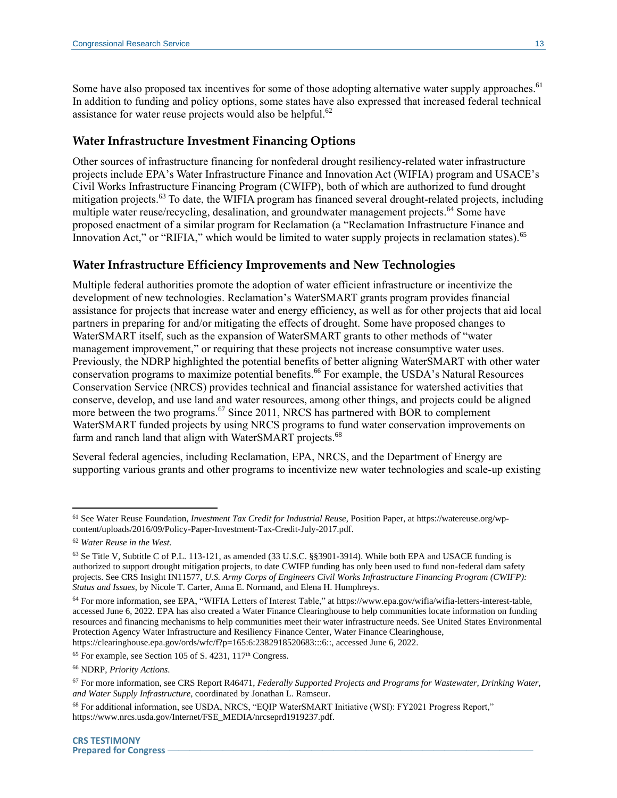Some have also proposed tax incentives for some of those adopting alternative water supply approaches.<sup>61</sup> In addition to funding and policy options, some states have also expressed that increased federal technical assistance for water reuse projects would also be helpful.<sup>62</sup>

#### **Water Infrastructure Investment Financing Options**

Other sources of infrastructure financing for nonfederal drought resiliency-related water infrastructure projects include EPA's Water Infrastructure Finance and Innovation Act (WIFIA) program and USACE's Civil Works Infrastructure Financing Program (CWIFP), both of which are authorized to fund drought mitigation projects.<sup>63</sup> To date, the WIFIA program has financed several drought-related projects, including multiple water reuse/recycling, desalination, and groundwater management projects.<sup>64</sup> Some have proposed enactment of a similar program for Reclamation (a "Reclamation Infrastructure Finance and Innovation Act," or "RIFIA," which would be limited to water supply projects in reclamation states).<sup>65</sup>

#### **Water Infrastructure Efficiency Improvements and New Technologies**

Multiple federal authorities promote the adoption of water efficient infrastructure or incentivize the development of new technologies. Reclamation's WaterSMART grants program provides financial assistance for projects that increase water and energy efficiency, as well as for other projects that aid local partners in preparing for and/or mitigating the effects of drought. Some have proposed changes to WaterSMART itself, such as the expansion of WaterSMART grants to other methods of "water management improvement," or requiring that these projects not increase consumptive water uses. Previously, the NDRP highlighted the potential benefits of better aligning WaterSMART with other water conservation programs to maximize potential benefits.<sup>66</sup> For example, the USDA's Natural Resources Conservation Service (NRCS) provides technical and financial assistance for watershed activities that conserve, develop, and use land and water resources, among other things, and projects could be aligned more between the two programs.<sup>67</sup> Since 2011, NRCS has partnered with BOR to complement WaterSMART funded projects by using NRCS programs to fund water conservation improvements on farm and ranch land that align with WaterSMART projects.<sup>68</sup>

Several federal agencies, including Reclamation, EPA, NRCS, and the Department of Energy are supporting various grants and other programs to incentivize new water technologies and scale-up existing

<sup>61</sup> See Water Reuse Foundation, *Investment Tax Credit for Industrial Reuse*, Position Paper, at https://watereuse.org/wpcontent/uploads/2016/09/Policy-Paper-Investment-Tax-Credit-July-2017.pdf.

<sup>62</sup> *Water Reuse in the West.*

<sup>63</sup> Se Title V, Subtitle C of P.L. 113-121, as amended (33 U.S.C. §§3901-3914). While both EPA and USACE funding is authorized to support drought mitigation projects, to date CWIFP funding has only been used to fund non-federal dam safety projects. See CRS Insight IN11577, *U.S. Army Corps of Engineers Civil Works Infrastructure Financing Program (CWIFP): Status and Issues*, by Nicole T. Carter, Anna E. Normand, and Elena H. Humphreys.

<sup>64</sup> For more information, see EPA, "WIFIA Letters of Interest Table," at https://www.epa.gov/wifia/wifia-letters-interest-table, accessed June 6, 2022. EPA has also created a Water Finance Clearinghouse to help communities locate information on funding resources and financing mechanisms to help communities meet their water infrastructure needs. See United States Environmental Protection Agency Water Infrastructure and Resiliency Finance Center, Water Finance Clearinghouse, https://clearinghouse.epa.gov/ords/wfc/f?p=165:6:2382918520683:::6::, accessed June 6, 2022.

 $65$  For example, see Section 105 of S. 4231, 117<sup>th</sup> Congress.

<sup>66</sup> NDRP, *Priority Actions*.

<sup>67</sup> For more information, see CRS Report R46471, *Federally Supported Projects and Programs for Wastewater, Drinking Water, and Water Supply Infrastructure*, coordinated by Jonathan L. Ramseur.

<sup>68</sup> For additional information, see USDA, NRCS, "EQIP WaterSMART Initiative (WSI): FY2021 Progress Report," https://www.nrcs.usda.gov/Internet/FSE\_MEDIA/nrcseprd1919237.pdf.